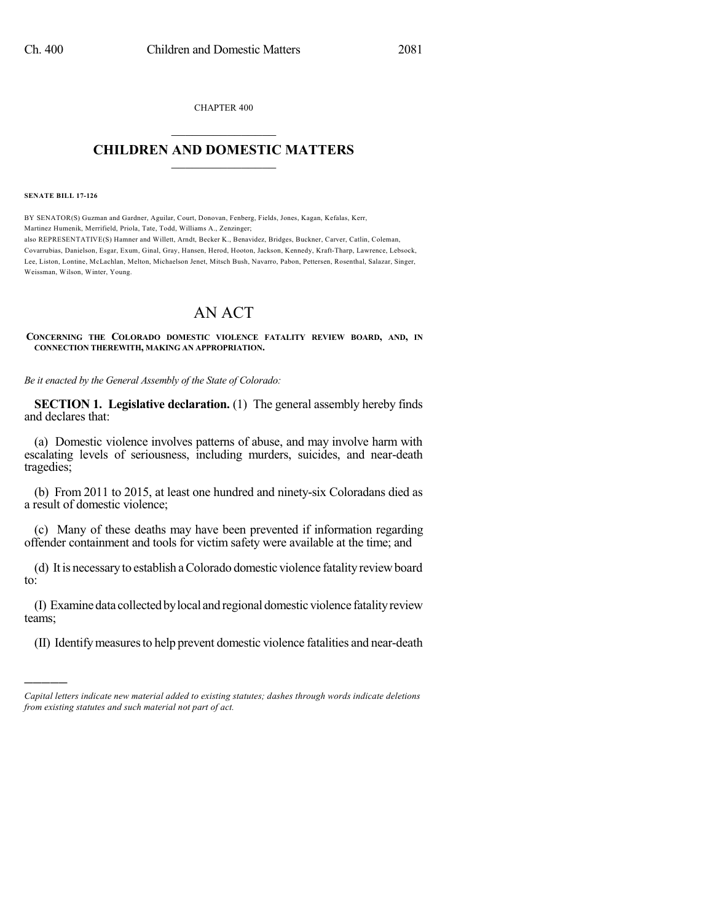CHAPTER 400  $\mathcal{L}_\text{max}$  . The set of the set of the set of the set of the set of the set of the set of the set of the set of the set of the set of the set of the set of the set of the set of the set of the set of the set of the set

## **CHILDREN AND DOMESTIC MATTERS**  $\_$

**SENATE BILL 17-126**

)))))

BY SENATOR(S) Guzman and Gardner, Aguilar, Court, Donovan, Fenberg, Fields, Jones, Kagan, Kefalas, Kerr, Martinez Humenik, Merrifield, Priola, Tate, Todd, Williams A., Zenzinger; also REPRESENTATIVE(S) Hamner and Willett, Arndt, Becker K., Benavidez, Bridges, Buckner, Carver, Catlin, Coleman, Covarrubias, Danielson, Esgar, Exum, Ginal, Gray, Hansen, Herod, Hooton, Jackson, Kennedy, Kraft-Tharp, Lawrence, Lebsock, Lee, Liston, Lontine, McLachlan, Melton, Michaelson Jenet, Mitsch Bush, Navarro, Pabon, Pettersen, Rosenthal, Salazar, Singer, Weissman, Wilson, Winter, Young.

## AN ACT

**CONCERNING THE COLORADO DOMESTIC VIOLENCE FATALITY REVIEW BOARD, AND, IN CONNECTION THEREWITH, MAKING AN APPROPRIATION.**

*Be it enacted by the General Assembly of the State of Colorado:*

**SECTION 1. Legislative declaration.** (1) The general assembly hereby finds and declares that:

(a) Domestic violence involves patterns of abuse, and may involve harm with escalating levels of seriousness, including murders, suicides, and near-death tragedies;

(b) From 2011 to 2015, at least one hundred and ninety-six Coloradans died as a result of domestic violence;

(c) Many of these deaths may have been prevented if information regarding offender containment and tools for victim safety were available at the time; and

(d) It is necessaryto establish aColorado domestic violence fatality reviewboard to:

(I) Examinedata collectedbylocal and regional domestic violence fatalityreview teams;

(II) Identifymeasuresto help prevent domestic violence fatalities and near-death

*Capital letters indicate new material added to existing statutes; dashes through words indicate deletions from existing statutes and such material not part of act.*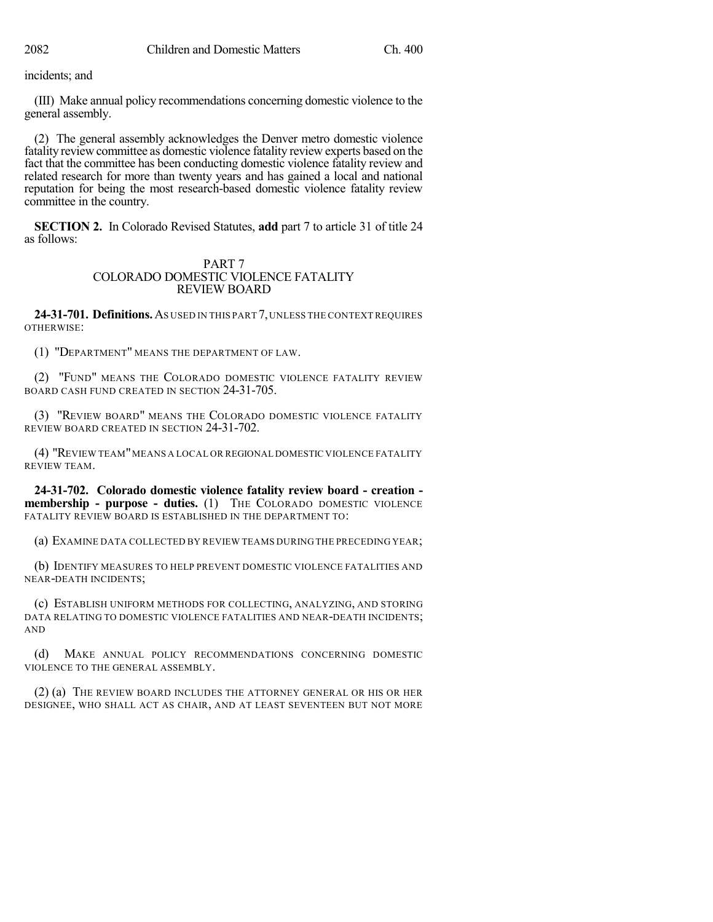incidents; and

(III) Make annual policy recommendations concerning domestic violence to the general assembly.

(2) The general assembly acknowledges the Denver metro domestic violence fatality review committee as domestic violence fatality review experts based on the fact that the committee has been conducting domestic violence fatality review and related research for more than twenty years and has gained a local and national reputation for being the most research-based domestic violence fatality review committee in the country.

**SECTION 2.** In Colorado Revised Statutes, **add** part 7 to article 31 of title 24 as follows:

## PART 7 COLORADO DOMESTIC VIOLENCE FATALITY REVIEW BOARD

**24-31-701. Definitions.**AS USED IN THIS PART 7,UNLESS THE CONTEXT REQUIRES OTHERWISE:

(1) "DEPARTMENT" MEANS THE DEPARTMENT OF LAW.

(2) "FUND" MEANS THE COLORADO DOMESTIC VIOLENCE FATALITY REVIEW BOARD CASH FUND CREATED IN SECTION 24-31-705.

(3) "REVIEW BOARD" MEANS THE COLORADO DOMESTIC VIOLENCE FATALITY REVIEW BOARD CREATED IN SECTION 24-31-702.

(4) "REVIEW TEAM"MEANS A LOCAL OR REGIONAL DOMESTIC VIOLENCE FATALITY REVIEW TEAM.

**24-31-702. Colorado domestic violence fatality review board - creation membership - purpose - duties.** (1) THE COLORADO DOMESTIC VIOLENCE FATALITY REVIEW BOARD IS ESTABLISHED IN THE DEPARTMENT TO:

(a) EXAMINE DATA COLLECTED BY REVIEW TEAMS DURING THE PRECEDING YEAR;

(b) IDENTIFY MEASURES TO HELP PREVENT DOMESTIC VIOLENCE FATALITIES AND NEAR-DEATH INCIDENTS;

(c) ESTABLISH UNIFORM METHODS FOR COLLECTING, ANALYZING, AND STORING DATA RELATING TO DOMESTIC VIOLENCE FATALITIES AND NEAR-DEATH INCIDENTS; AND

(d) MAKE ANNUAL POLICY RECOMMENDATIONS CONCERNING DOMESTIC VIOLENCE TO THE GENERAL ASSEMBLY.

(2) (a) THE REVIEW BOARD INCLUDES THE ATTORNEY GENERAL OR HIS OR HER DESIGNEE, WHO SHALL ACT AS CHAIR, AND AT LEAST SEVENTEEN BUT NOT MORE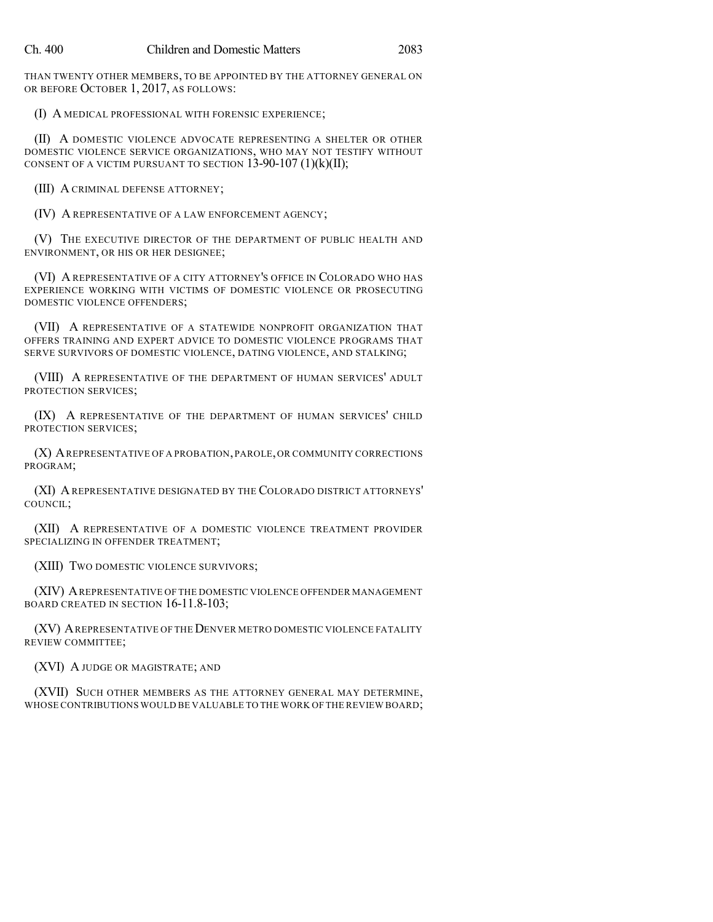THAN TWENTY OTHER MEMBERS, TO BE APPOINTED BY THE ATTORNEY GENERAL ON OR BEFORE OCTOBER 1, 2017, AS FOLLOWS:

(I) A MEDICAL PROFESSIONAL WITH FORENSIC EXPERIENCE;

(II) A DOMESTIC VIOLENCE ADVOCATE REPRESENTING A SHELTER OR OTHER DOMESTIC VIOLENCE SERVICE ORGANIZATIONS, WHO MAY NOT TESTIFY WITHOUT CONSENT OF A VICTIM PURSUANT TO SECTION  $13-90-107$  (1)(k)(II);

(III) A CRIMINAL DEFENSE ATTORNEY;

(IV) A REPRESENTATIVE OF A LAW ENFORCEMENT AGENCY;

(V) THE EXECUTIVE DIRECTOR OF THE DEPARTMENT OF PUBLIC HEALTH AND ENVIRONMENT, OR HIS OR HER DESIGNEE;

(VI) A REPRESENTATIVE OF A CITY ATTORNEY'S OFFICE IN COLORADO WHO HAS EXPERIENCE WORKING WITH VICTIMS OF DOMESTIC VIOLENCE OR PROSECUTING DOMESTIC VIOLENCE OFFENDERS;

(VII) A REPRESENTATIVE OF A STATEWIDE NONPROFIT ORGANIZATION THAT OFFERS TRAINING AND EXPERT ADVICE TO DOMESTIC VIOLENCE PROGRAMS THAT SERVE SURVIVORS OF DOMESTIC VIOLENCE, DATING VIOLENCE, AND STALKING;

(VIII) A REPRESENTATIVE OF THE DEPARTMENT OF HUMAN SERVICES' ADULT PROTECTION SERVICES;

(IX) A REPRESENTATIVE OF THE DEPARTMENT OF HUMAN SERVICES' CHILD PROTECTION SERVICES;

(X) AREPRESENTATIVE OF A PROBATION,PAROLE,OR COMMUNITY CORRECTIONS PROGRAM;

(XI) AREPRESENTATIVE DESIGNATED BY THE COLORADO DISTRICT ATTORNEYS' COUNCIL;

(XII) A REPRESENTATIVE OF A DOMESTIC VIOLENCE TREATMENT PROVIDER SPECIALIZING IN OFFENDER TREATMENT;

(XIII) TWO DOMESTIC VIOLENCE SURVIVORS;

(XIV) AREPRESENTATIVE OF THE DOMESTIC VIOLENCE OFFENDER MANAGEMENT BOARD CREATED IN SECTION 16-11.8-103;

(XV) AREPRESENTATIVE OF THE DENVER METRO DOMESTIC VIOLENCE FATALITY REVIEW COMMITTEE;

(XVI) A JUDGE OR MAGISTRATE; AND

(XVII) SUCH OTHER MEMBERS AS THE ATTORNEY GENERAL MAY DETERMINE, WHOSE CONTRIBUTIONS WOULD BE VALUABLE TO THE WORK OF THE REVIEW BOARD;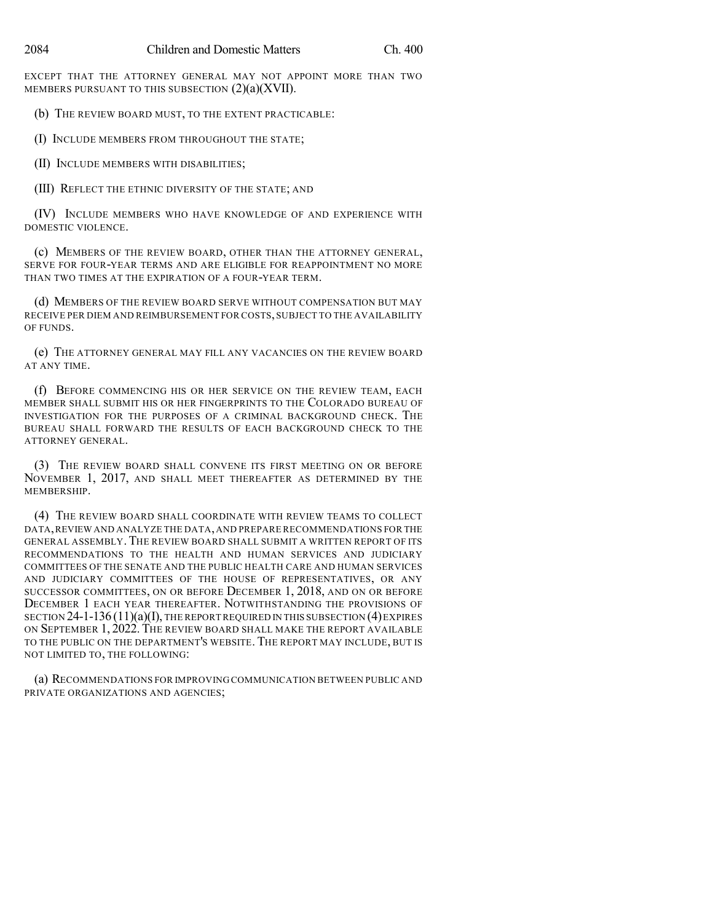EXCEPT THAT THE ATTORNEY GENERAL MAY NOT APPOINT MORE THAN TWO MEMBERS PURSUANT TO THIS SUBSECTION (2)(a)(XVII).

(b) THE REVIEW BOARD MUST, TO THE EXTENT PRACTICABLE:

(I) INCLUDE MEMBERS FROM THROUGHOUT THE STATE;

(II) INCLUDE MEMBERS WITH DISABILITIES;

(III) REFLECT THE ETHNIC DIVERSITY OF THE STATE; AND

(IV) INCLUDE MEMBERS WHO HAVE KNOWLEDGE OF AND EXPERIENCE WITH DOMESTIC VIOLENCE.

(c) MEMBERS OF THE REVIEW BOARD, OTHER THAN THE ATTORNEY GENERAL, SERVE FOR FOUR-YEAR TERMS AND ARE ELIGIBLE FOR REAPPOINTMENT NO MORE THAN TWO TIMES AT THE EXPIRATION OF A FOUR-YEAR TERM.

(d) MEMBERS OF THE REVIEW BOARD SERVE WITHOUT COMPENSATION BUT MAY RECEIVE PER DIEM AND REIMBURSEMENT FOR COSTS, SUBJECT TO THE AVAILABILITY OF FUNDS.

(e) THE ATTORNEY GENERAL MAY FILL ANY VACANCIES ON THE REVIEW BOARD AT ANY TIME.

(f) BEFORE COMMENCING HIS OR HER SERVICE ON THE REVIEW TEAM, EACH MEMBER SHALL SUBMIT HIS OR HER FINGERPRINTS TO THE COLORADO BUREAU OF INVESTIGATION FOR THE PURPOSES OF A CRIMINAL BACKGROUND CHECK. THE BUREAU SHALL FORWARD THE RESULTS OF EACH BACKGROUND CHECK TO THE ATTORNEY GENERAL.

(3) THE REVIEW BOARD SHALL CONVENE ITS FIRST MEETING ON OR BEFORE NOVEMBER 1, 2017, AND SHALL MEET THEREAFTER AS DETERMINED BY THE MEMBERSHIP.

(4) THE REVIEW BOARD SHALL COORDINATE WITH REVIEW TEAMS TO COLLECT DATA,REVIEW AND ANALYZE THE DATA,AND PREPARE RECOMMENDATIONS FOR THE GENERAL ASSEMBLY. THE REVIEW BOARD SHALL SUBMIT A WRITTEN REPORT OF ITS RECOMMENDATIONS TO THE HEALTH AND HUMAN SERVICES AND JUDICIARY COMMITTEES OF THE SENATE AND THE PUBLIC HEALTH CARE AND HUMAN SERVICES AND JUDICIARY COMMITTEES OF THE HOUSE OF REPRESENTATIVES, OR ANY SUCCESSOR COMMITTEES, ON OR BEFORE DECEMBER 1, 2018, AND ON OR BEFORE DECEMBER 1 EACH YEAR THEREAFTER. NOTWITHSTANDING THE PROVISIONS OF SECTION  $24$ -1-136 (11)(a)(I), THE REPORT REQUIRED IN THIS SUBSECTION (4) EXPIRES ON SEPTEMBER 1, 2022. THE REVIEW BOARD SHALL MAKE THE REPORT AVAILABLE TO THE PUBLIC ON THE DEPARTMENT'S WEBSITE. THE REPORT MAY INCLUDE, BUT IS NOT LIMITED TO, THE FOLLOWING:

(a) RECOMMENDATIONS FOR IMPROVING COMMUNICATION BETWEEN PUBLIC AND PRIVATE ORGANIZATIONS AND AGENCIES;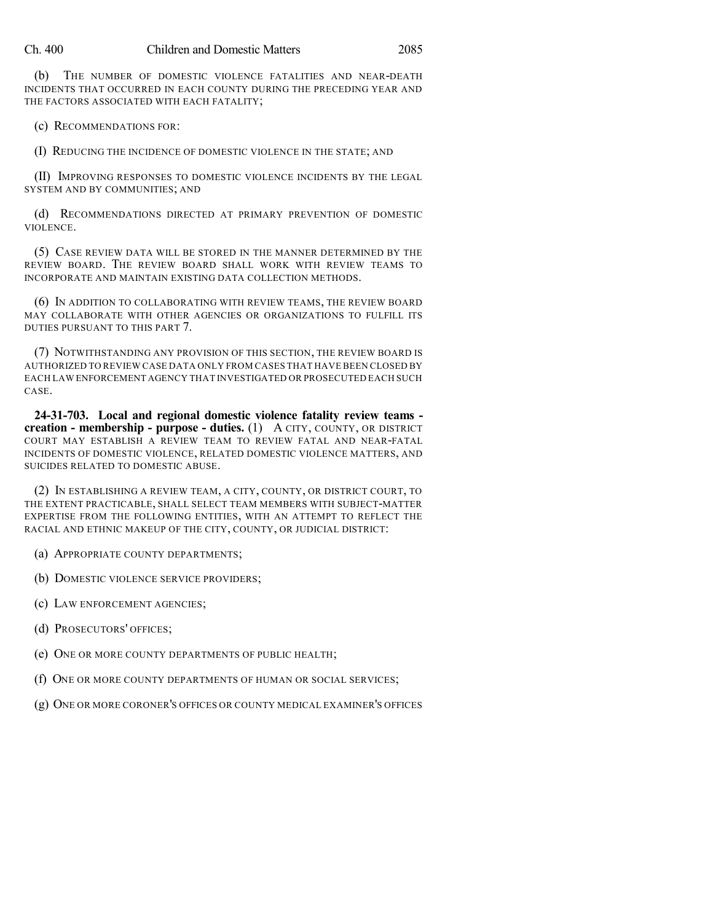(b) THE NUMBER OF DOMESTIC VIOLENCE FATALITIES AND NEAR-DEATH INCIDENTS THAT OCCURRED IN EACH COUNTY DURING THE PRECEDING YEAR AND THE FACTORS ASSOCIATED WITH EACH FATALITY;

(c) RECOMMENDATIONS FOR:

(I) REDUCING THE INCIDENCE OF DOMESTIC VIOLENCE IN THE STATE; AND

(II) IMPROVING RESPONSES TO DOMESTIC VIOLENCE INCIDENTS BY THE LEGAL SYSTEM AND BY COMMUNITIES; AND

(d) RECOMMENDATIONS DIRECTED AT PRIMARY PREVENTION OF DOMESTIC VIOLENCE.

(5) CASE REVIEW DATA WILL BE STORED IN THE MANNER DETERMINED BY THE REVIEW BOARD. THE REVIEW BOARD SHALL WORK WITH REVIEW TEAMS TO INCORPORATE AND MAINTAIN EXISTING DATA COLLECTION METHODS.

(6) IN ADDITION TO COLLABORATING WITH REVIEW TEAMS, THE REVIEW BOARD MAY COLLABORATE WITH OTHER AGENCIES OR ORGANIZATIONS TO FULFILL ITS DUTIES PURSUANT TO THIS PART 7.

(7) NOTWITHSTANDING ANY PROVISION OF THIS SECTION, THE REVIEW BOARD IS AUTHORIZED TO REVIEW CASE DATA ONLY FROM CASES THAT HAVE BEEN CLOSED BY EACH LAW ENFORCEMENT AGENCY THAT INVESTIGATED OR PROSECUTED EACH SUCH CASE.

**24-31-703. Local and regional domestic violence fatality review teams creation - membership - purpose - duties.** (1) A CITY, COUNTY, OR DISTRICT COURT MAY ESTABLISH A REVIEW TEAM TO REVIEW FATAL AND NEAR-FATAL INCIDENTS OF DOMESTIC VIOLENCE, RELATED DOMESTIC VIOLENCE MATTERS, AND SUICIDES RELATED TO DOMESTIC ABUSE.

(2) IN ESTABLISHING A REVIEW TEAM, A CITY, COUNTY, OR DISTRICT COURT, TO THE EXTENT PRACTICABLE, SHALL SELECT TEAM MEMBERS WITH SUBJECT-MATTER EXPERTISE FROM THE FOLLOWING ENTITIES, WITH AN ATTEMPT TO REFLECT THE RACIAL AND ETHNIC MAKEUP OF THE CITY, COUNTY, OR JUDICIAL DISTRICT:

(a) APPROPRIATE COUNTY DEPARTMENTS;

(b) DOMESTIC VIOLENCE SERVICE PROVIDERS;

(c) LAW ENFORCEMENT AGENCIES;

(d) PROSECUTORS' OFFICES;

(e) ONE OR MORE COUNTY DEPARTMENTS OF PUBLIC HEALTH;

(f) ONE OR MORE COUNTY DEPARTMENTS OF HUMAN OR SOCIAL SERVICES;

(g) ONE OR MORE CORONER'S OFFICES OR COUNTY MEDICAL EXAMINER'S OFFICES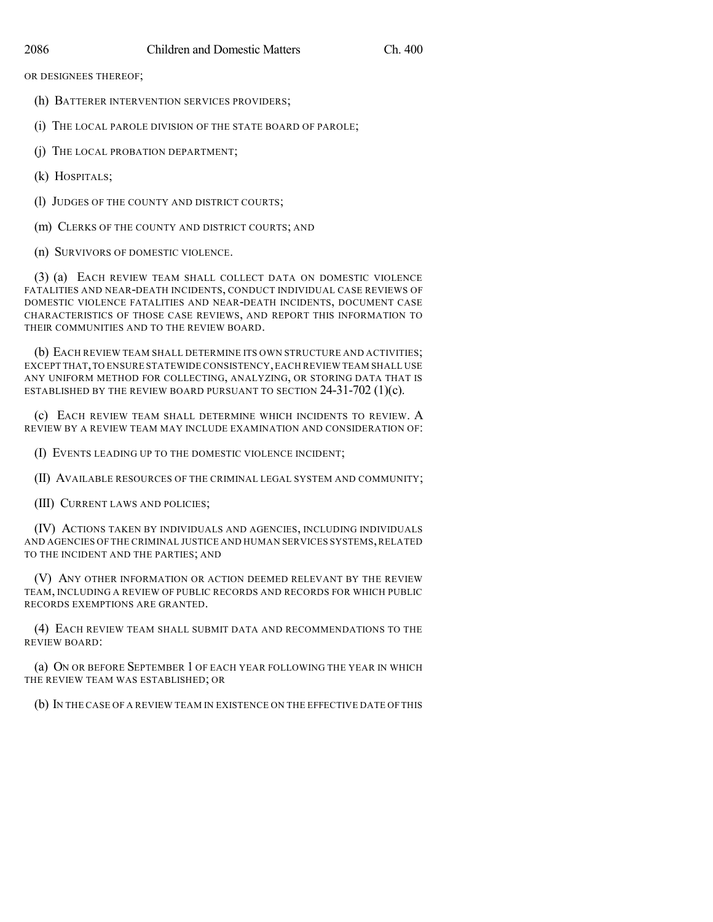OR DESIGNEES THEREOF;

- (h) BATTERER INTERVENTION SERVICES PROVIDERS;
- (i) THE LOCAL PAROLE DIVISION OF THE STATE BOARD OF PAROLE;
- (j) THE LOCAL PROBATION DEPARTMENT;
- (k) HOSPITALS;
- (l) JUDGES OF THE COUNTY AND DISTRICT COURTS;
- (m) CLERKS OF THE COUNTY AND DISTRICT COURTS; AND
- (n) SURVIVORS OF DOMESTIC VIOLENCE.

(3) (a) EACH REVIEW TEAM SHALL COLLECT DATA ON DOMESTIC VIOLENCE FATALITIES AND NEAR-DEATH INCIDENTS, CONDUCT INDIVIDUAL CASE REVIEWS OF DOMESTIC VIOLENCE FATALITIES AND NEAR-DEATH INCIDENTS, DOCUMENT CASE CHARACTERISTICS OF THOSE CASE REVIEWS, AND REPORT THIS INFORMATION TO THEIR COMMUNITIES AND TO THE REVIEW BOARD.

(b) EACH REVIEW TEAM SHALL DETERMINE ITS OWN STRUCTURE AND ACTIVITIES; EXCEPT THAT,TO ENSURE STATEWIDE CONSISTENCY,EACH REVIEW TEAM SHALL USE ANY UNIFORM METHOD FOR COLLECTING, ANALYZING, OR STORING DATA THAT IS ESTABLISHED BY THE REVIEW BOARD PURSUANT TO SECTION  $24-31-702$  (1)(c).

(c) EACH REVIEW TEAM SHALL DETERMINE WHICH INCIDENTS TO REVIEW. A REVIEW BY A REVIEW TEAM MAY INCLUDE EXAMINATION AND CONSIDERATION OF:

(I) EVENTS LEADING UP TO THE DOMESTIC VIOLENCE INCIDENT;

(II) AVAILABLE RESOURCES OF THE CRIMINAL LEGAL SYSTEM AND COMMUNITY;

(III) CURRENT LAWS AND POLICIES;

(IV) ACTIONS TAKEN BY INDIVIDUALS AND AGENCIES, INCLUDING INDIVIDUALS AND AGENCIES OF THE CRIMINAL JUSTICE AND HUMAN SERVICES SYSTEMS,RELATED TO THE INCIDENT AND THE PARTIES; AND

(V) ANY OTHER INFORMATION OR ACTION DEEMED RELEVANT BY THE REVIEW TEAM, INCLUDING A REVIEW OF PUBLIC RECORDS AND RECORDS FOR WHICH PUBLIC RECORDS EXEMPTIONS ARE GRANTED.

(4) EACH REVIEW TEAM SHALL SUBMIT DATA AND RECOMMENDATIONS TO THE REVIEW BOARD:

(a) ON OR BEFORE SEPTEMBER 1 OF EACH YEAR FOLLOWING THE YEAR IN WHICH THE REVIEW TEAM WAS ESTABLISHED; OR

(b) IN THE CASE OF A REVIEW TEAM IN EXISTENCE ON THE EFFECTIVE DATE OF THIS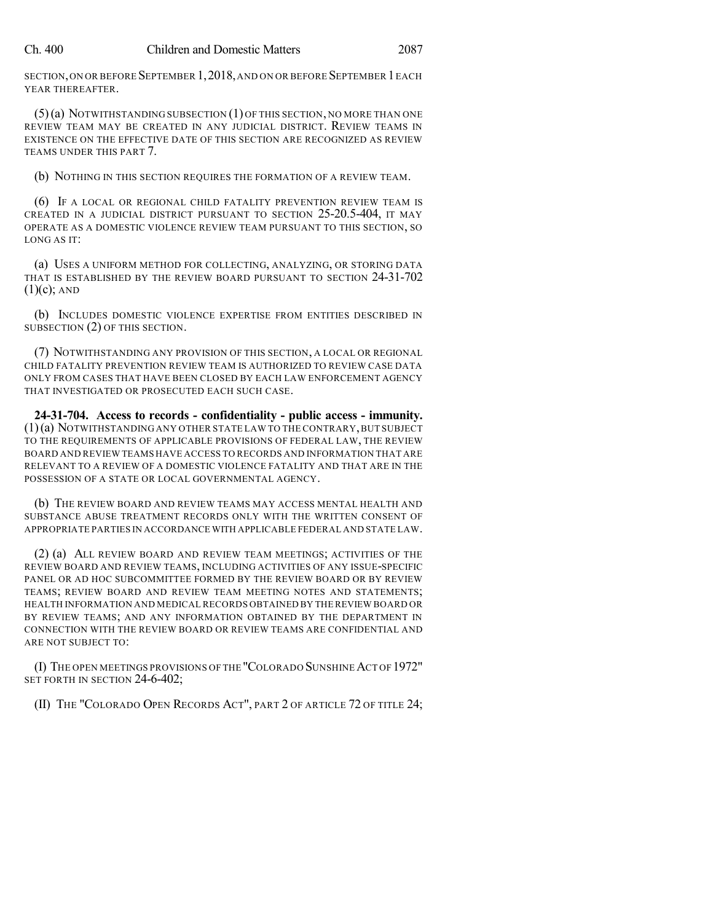SECTION,ON OR BEFORE SEPTEMBER 1,2018,AND ON OR BEFORE SEPTEMBER 1EACH YEAR THEREAFTER.

(5)(a) NOTWITHSTANDING SUBSECTION (1) OF THIS SECTION, NO MORE THAN ONE REVIEW TEAM MAY BE CREATED IN ANY JUDICIAL DISTRICT. REVIEW TEAMS IN EXISTENCE ON THE EFFECTIVE DATE OF THIS SECTION ARE RECOGNIZED AS REVIEW TEAMS UNDER THIS PART 7.

(b) NOTHING IN THIS SECTION REQUIRES THE FORMATION OF A REVIEW TEAM.

(6) IF A LOCAL OR REGIONAL CHILD FATALITY PREVENTION REVIEW TEAM IS CREATED IN A JUDICIAL DISTRICT PURSUANT TO SECTION 25-20.5-404, IT MAY OPERATE AS A DOMESTIC VIOLENCE REVIEW TEAM PURSUANT TO THIS SECTION, SO LONG AS IT:

(a) USES A UNIFORM METHOD FOR COLLECTING, ANALYZING, OR STORING DATA THAT IS ESTABLISHED BY THE REVIEW BOARD PURSUANT TO SECTION 24-31-702  $(1)(c)$ ; AND

(b) INCLUDES DOMESTIC VIOLENCE EXPERTISE FROM ENTITIES DESCRIBED IN SUBSECTION (2) OF THIS SECTION.

(7) NOTWITHSTANDING ANY PROVISION OF THIS SECTION, A LOCAL OR REGIONAL CHILD FATALITY PREVENTION REVIEW TEAM IS AUTHORIZED TO REVIEW CASE DATA ONLY FROM CASES THAT HAVE BEEN CLOSED BY EACH LAW ENFORCEMENT AGENCY THAT INVESTIGATED OR PROSECUTED EACH SUCH CASE.

**24-31-704. Access to records - confidentiality - public access - immunity.** (1)(a) NOTWITHSTANDING ANY OTHER STATE LAW TO THE CONTRARY,BUT SUBJECT TO THE REQUIREMENTS OF APPLICABLE PROVISIONS OF FEDERAL LAW, THE REVIEW BOARD AND REVIEW TEAMS HAVE ACCESS TO RECORDS AND INFORMATION THAT ARE RELEVANT TO A REVIEW OF A DOMESTIC VIOLENCE FATALITY AND THAT ARE IN THE POSSESSION OF A STATE OR LOCAL GOVERNMENTAL AGENCY.

(b) THE REVIEW BOARD AND REVIEW TEAMS MAY ACCESS MENTAL HEALTH AND SUBSTANCE ABUSE TREATMENT RECORDS ONLY WITH THE WRITTEN CONSENT OF APPROPRIATE PARTIES IN ACCORDANCE WITH APPLICABLE FEDERAL AND STATE LAW.

(2) (a) ALL REVIEW BOARD AND REVIEW TEAM MEETINGS; ACTIVITIES OF THE REVIEW BOARD AND REVIEW TEAMS, INCLUDING ACTIVITIES OF ANY ISSUE-SPECIFIC PANEL OR AD HOC SUBCOMMITTEE FORMED BY THE REVIEW BOARD OR BY REVIEW TEAMS; REVIEW BOARD AND REVIEW TEAM MEETING NOTES AND STATEMENTS; HEALTH INFORMATION AND MEDICAL RECORDS OBTAINED BY THE REVIEW BOARD OR BY REVIEW TEAMS; AND ANY INFORMATION OBTAINED BY THE DEPARTMENT IN CONNECTION WITH THE REVIEW BOARD OR REVIEW TEAMS ARE CONFIDENTIAL AND ARE NOT SUBJECT TO:

(I) THE OPEN MEETINGS PROVISIONS OF THE "COLORADO SUNSHINEACT OF 1972" SET FORTH IN SECTION 24-6-402;

(II) THE "COLORADO OPEN RECORDS ACT", PART 2 OF ARTICLE 72 OF TITLE 24;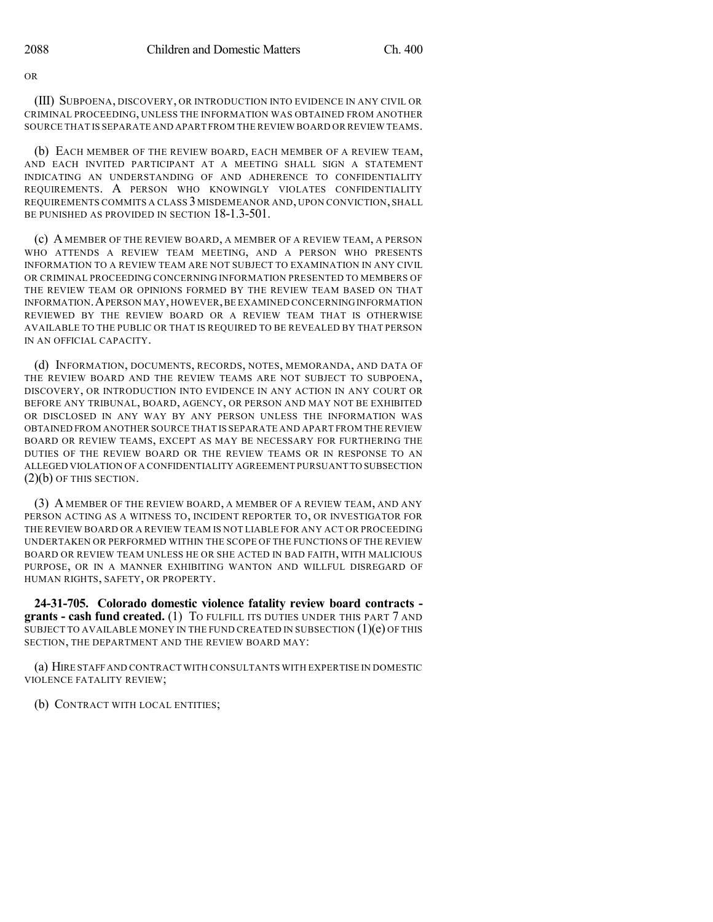OR

(III) SUBPOENA, DISCOVERY, OR INTRODUCTION INTO EVIDENCE IN ANY CIVIL OR CRIMINAL PROCEEDING, UNLESS THE INFORMATION WAS OBTAINED FROM ANOTHER SOURCE THAT IS SEPARATE AND APART FROM THE REVIEW BOARD OR REVIEW TEAMS.

(b) EACH MEMBER OF THE REVIEW BOARD, EACH MEMBER OF A REVIEW TEAM, AND EACH INVITED PARTICIPANT AT A MEETING SHALL SIGN A STATEMENT INDICATING AN UNDERSTANDING OF AND ADHERENCE TO CONFIDENTIALITY REQUIREMENTS. A PERSON WHO KNOWINGLY VIOLATES CONFIDENTIALITY REQUIREMENTS COMMITS A CLASS 3 MISDEMEANOR AND, UPON CONVICTION, SHALL BE PUNISHED AS PROVIDED IN SECTION 18-1.3-501.

(c) A MEMBER OF THE REVIEW BOARD, A MEMBER OF A REVIEW TEAM, A PERSON WHO ATTENDS A REVIEW TEAM MEETING, AND A PERSON WHO PRESENTS INFORMATION TO A REVIEW TEAM ARE NOT SUBJECT TO EXAMINATION IN ANY CIVIL OR CRIMINAL PROCEEDING CONCERNING INFORMATION PRESENTED TO MEMBERS OF THE REVIEW TEAM OR OPINIONS FORMED BY THE REVIEW TEAM BASED ON THAT INFORMATION.APERSON MAY,HOWEVER,BE EXAMINED CONCERNINGINFORMATION REVIEWED BY THE REVIEW BOARD OR A REVIEW TEAM THAT IS OTHERWISE AVAILABLE TO THE PUBLIC OR THAT IS REQUIRED TO BE REVEALED BY THAT PERSON IN AN OFFICIAL CAPACITY.

(d) INFORMATION, DOCUMENTS, RECORDS, NOTES, MEMORANDA, AND DATA OF THE REVIEW BOARD AND THE REVIEW TEAMS ARE NOT SUBJECT TO SUBPOENA, DISCOVERY, OR INTRODUCTION INTO EVIDENCE IN ANY ACTION IN ANY COURT OR BEFORE ANY TRIBUNAL, BOARD, AGENCY, OR PERSON AND MAY NOT BE EXHIBITED OR DISCLOSED IN ANY WAY BY ANY PERSON UNLESS THE INFORMATION WAS OBTAINED FROM ANOTHER SOURCE THAT IS SEPARATE AND APART FROM THE REVIEW BOARD OR REVIEW TEAMS, EXCEPT AS MAY BE NECESSARY FOR FURTHERING THE DUTIES OF THE REVIEW BOARD OR THE REVIEW TEAMS OR IN RESPONSE TO AN ALLEGED VIOLATION OF A CONFIDENTIALITY AGREEMENT PURSUANT TO SUBSECTION  $(2)(b)$  OF THIS SECTION.

(3) A MEMBER OF THE REVIEW BOARD, A MEMBER OF A REVIEW TEAM, AND ANY PERSON ACTING AS A WITNESS TO, INCIDENT REPORTER TO, OR INVESTIGATOR FOR THE REVIEW BOARD OR A REVIEW TEAM IS NOT LIABLE FOR ANY ACT OR PROCEEDING UNDERTAKEN OR PERFORMED WITHIN THE SCOPE OF THE FUNCTIONS OF THE REVIEW BOARD OR REVIEW TEAM UNLESS HE OR SHE ACTED IN BAD FAITH, WITH MALICIOUS PURPOSE, OR IN A MANNER EXHIBITING WANTON AND WILLFUL DISREGARD OF HUMAN RIGHTS, SAFETY, OR PROPERTY.

**24-31-705. Colorado domestic violence fatality review board contracts grants - cash fund created.** (1) TO FULFILL ITS DUTIES UNDER THIS PART 7 AND SUBJECT TO AVAILABLE MONEY IN THE FUND CREATED IN SUBSECTION  $(1)(e)$  OF THIS SECTION, THE DEPARTMENT AND THE REVIEW BOARD MAY:

(a) HIRE STAFFAND CONTRACT WITH CONSULTANTS WITH EXPERTISE IN DOMESTIC VIOLENCE FATALITY REVIEW;

(b) CONTRACT WITH LOCAL ENTITIES;